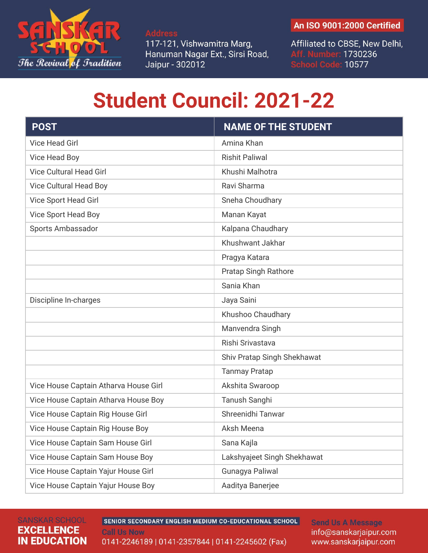

**Address** 117-121, Vishwamitra Marg, Hanuman Nagar Ext., Sirsi Road, Jaipur - 302012

## An ISO 9001:2000 Certified

Affiliated to CBSE, New Delhi, Aff. Number: 1730236<br>School Code: 10577

## **Student Council: 2021-22**

| <b>POST</b>                           | <b>NAME OF THE STUDENT</b>  |
|---------------------------------------|-----------------------------|
| <b>Vice Head Girl</b>                 | Amina Khan                  |
| Vice Head Boy                         | <b>Rishit Paliwal</b>       |
| <b>Vice Cultural Head Girl</b>        | Khushi Malhotra             |
| <b>Vice Cultural Head Boy</b>         | Ravi Sharma                 |
| Vice Sport Head Girl                  | Sneha Choudhary             |
| Vice Sport Head Boy                   | Manan Kayat                 |
| Sports Ambassador                     | Kalpana Chaudhary           |
|                                       | Khushwant Jakhar            |
|                                       | Pragya Katara               |
|                                       | <b>Pratap Singh Rathore</b> |
|                                       | Sania Khan                  |
| Discipline In-charges                 | Jaya Saini                  |
|                                       | Khushoo Chaudhary           |
|                                       | Manvendra Singh             |
|                                       | Rishi Srivastava            |
|                                       | Shiv Pratap Singh Shekhawat |
|                                       | <b>Tanmay Pratap</b>        |
| Vice House Captain Atharva House Girl | Akshita Swaroop             |
| Vice House Captain Atharva House Boy  | Tanush Sanghi               |
| Vice House Captain Rig House Girl     | Shreenidhi Tanwar           |
| Vice House Captain Rig House Boy      | Aksh Meena                  |
| Vice House Captain Sam House Girl     | Sana Kajla                  |
| Vice House Captain Sam House Boy      | Lakshyajeet Singh Shekhawat |
| Vice House Captain Yajur House Girl   | Gunagya Paliwal             |
| Vice House Captain Yajur House Boy    | Aaditya Banerjee            |

## **SANSKAR SCHOOL EXCELLENCE IN EDUCATION**

SENIOR SECONDARY ENGLISH MEDIUM CO-EDUCATIONAL SCHOOL **Call Us Now** 0141-2246189 | 0141-2357844 | 0141-2245602 (Fax)

**Send Us A Message** info@sanskarjaipur.com www.sanskarjaipur.com